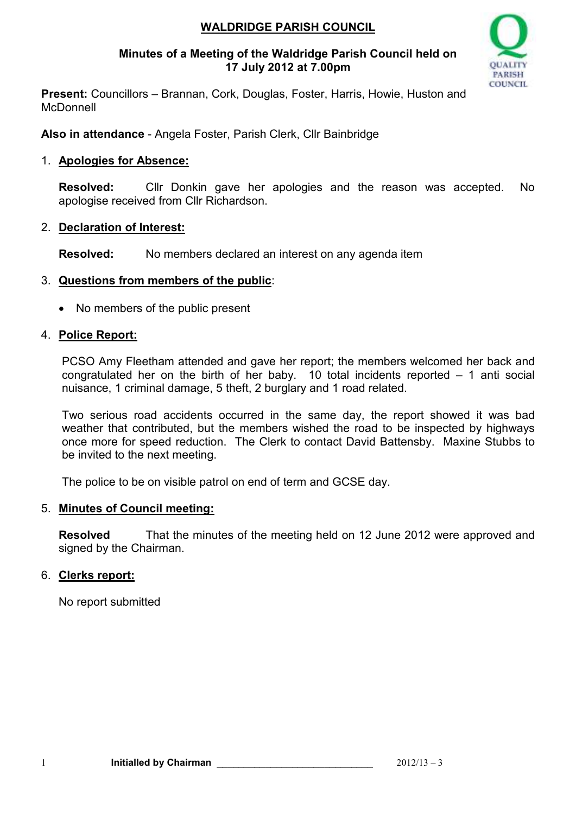## **WALDRIDGE PARISH COUNCIL**

#### **Minutes of a Meeting of the Waldridge Parish Council held on 17 July 2012 at 7.00pm**



**Present:** Councillors – Brannan, Cork, Douglas, Foster, Harris, Howie, Huston and **McDonnell** 

**Also in attendance** - Angela Foster, Parish Clerk, Cllr Bainbridge

## 1. **Apologies for Absence:**

**Resolved:** Cllr Donkin gave her apologies and the reason was accepted. No apologise received from Cllr Richardson.

## 2. **Declaration of Interest:**

**Resolved:** No members declared an interest on any agenda item

#### 3. **Questions from members of the public**:

• No members of the public present

#### 4. **Police Report:**

PCSO Amy Fleetham attended and gave her report; the members welcomed her back and congratulated her on the birth of her baby. 10 total incidents reported  $-$  1 anti social nuisance, 1 criminal damage, 5 theft, 2 burglary and 1 road related.

Two serious road accidents occurred in the same day, the report showed it was bad weather that contributed, but the members wished the road to be inspected by highways once more for speed reduction. The Clerk to contact David Battensby. Maxine Stubbs to be invited to the next meeting.

The police to be on visible patrol on end of term and GCSE day.

## 5. **Minutes of Council meeting:**

**Resolved** That the minutes of the meeting held on 12 June 2012 were approved and signed by the Chairman.

## 6. **Clerks report:**

No report submitted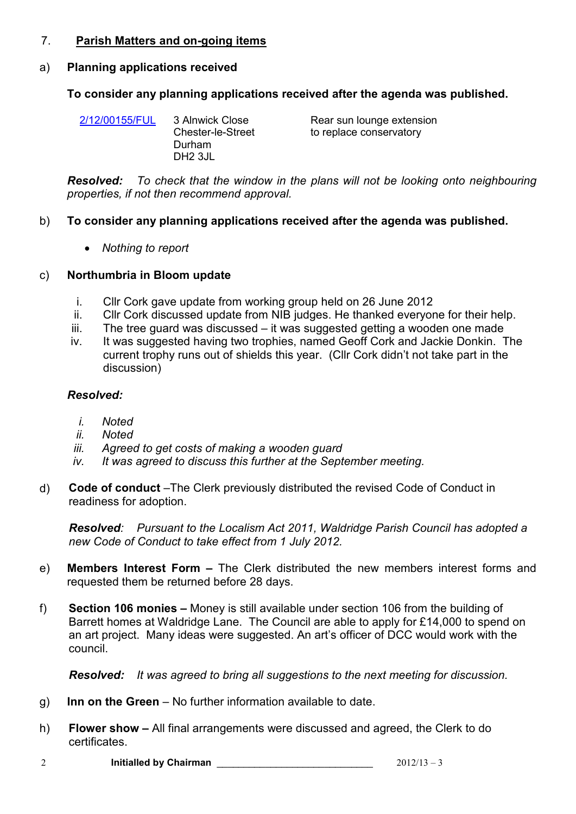#### 7. **Parish Matters and on-going items**

#### a) **Planning applications received**

#### **To consider any planning applications received after the agenda was published.**

| 2/12/00155/FUL | 3 Alnwick Close<br><b>Chester-le-Street</b><br>Durham | Rear sun lounge extension<br>to replace conservatory |
|----------------|-------------------------------------------------------|------------------------------------------------------|
|                | DH <sub>2</sub> 3JL                                   |                                                      |

*Resolved: To check that the window in the plans will not be looking onto neighbouring properties, if not then recommend approval.*

#### b) **To consider any planning applications received after the agenda was published.**

• *Nothing to report* 

#### c) **Northumbria in Bloom update**

- i. Cllr Cork gave update from working group held on 26 June 2012
- ii. Cllr Cork discussed update from NIB judges. He thanked everyone for their help.
- iii. The tree guard was discussed it was suggested getting a wooden one made
- iv. It was suggested having two trophies, named Geoff Cork and Jackie Donkin. The current trophy runs out of shields this year. (Cllr Cork didn't not take part in the discussion)

#### *Resolved:*

- *i. Noted*
- *ii. Noted*
- *iii. Agreed to get costs of making a wooden guard*
- *iv. It was agreed to discuss this further at the September meeting.*
- d) **Code of conduct** *–*The Clerk previously distributed the revised Code of Conduct in readiness for adoption.

*Resolved: Pursuant to the Localism Act 2011, Waldridge Parish Council has adopted a new Code of Conduct to take effect from 1 July 2012.* 

- e) **Members Interest Form** The Clerk distributed the new members interest forms and requested them be returned before 28 days.
- f) **Section 106 monies** Money is still available under section 106 from the building of Barrett homes at Waldridge Lane. The Council are able to apply for £14,000 to spend on an art project. Many ideas were suggested. An art's officer of DCC would work with the council.

*Resolved: It was agreed to bring all suggestions to the next meeting for discussion.* 

- g) **Inn on the Green**  No further information available to date.
- h) **Flower show** All final arrangements were discussed and agreed, the Clerk to do certificates.
- 2 **Initialled by Chairman** \_\_\_\_\_\_\_\_\_\_\_\_\_\_\_\_\_\_\_\_\_\_\_\_\_\_\_\_\_ 2012/13 3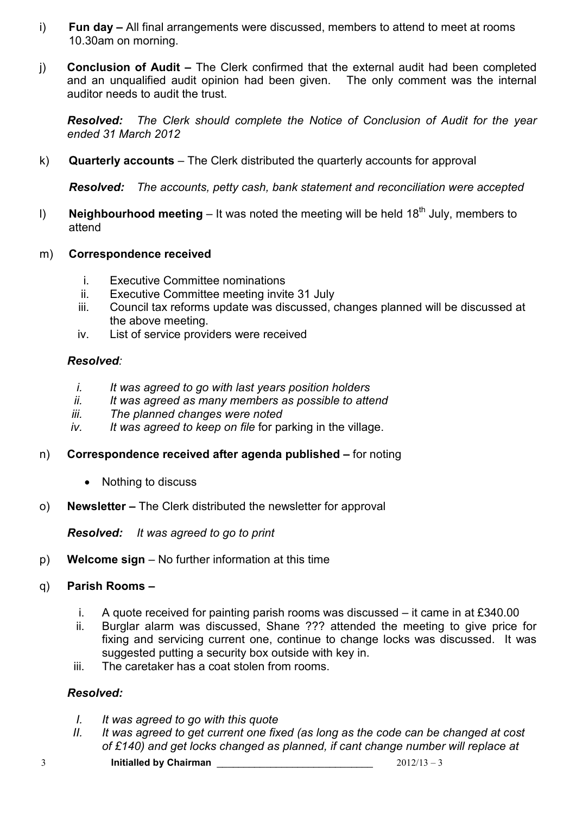- i) **Fun day** All final arrangements were discussed, members to attend to meet at rooms 10.30am on morning.
- j) **Conclusion of Audit** The Clerk confirmed that the external audit had been completed and an unqualified audit opinion had been given. The only comment was the internal auditor needs to audit the trust.

*Resolved:**The Clerk should complete the Notice of Conclusion of Audit for the year ended 31 March 2012*

k) **Quarterly accounts** – The Clerk distributed the quarterly accounts for approval

*Resolved: The accounts, petty cash, bank statement and reconciliation were accepted* 

- l) **Neighbourhood meeting** It was noted the meeting will be held 18<sup>th</sup> July, members to attend
- m) **Correspondence received** 
	- i. Executive Committee nominations
	- ii. Executive Committee meeting invite 31 July
	- iii. Council tax reforms update was discussed, changes planned will be discussed at the above meeting.
	- iv. List of service providers were received

## *Resolved:*

- *i. It was agreed to go with last years position holders*
- *ii. It was agreed as many members as possible to attend*
- *iii. The planned changes were noted*
- *iv. It was agreed to keep on file* for parking in the village.
- n) **Correspondence received after agenda published –** for noting
	- Nothing to discuss
- o) **Newsletter** The Clerk distributed the newsletter for approval

*Resolved: It was agreed to go to print*

p) **Welcome sign** – No further information at this time

## q) **Parish Rooms –**

- i. A quote received for painting parish rooms was discussed it came in at £340.00
- ii. Burglar alarm was discussed, Shane ??? attended the meeting to give price for fixing and servicing current one, continue to change locks was discussed. It was suggested putting a security box outside with key in.
- iii. The caretaker has a coat stolen from rooms.

## *Resolved:*

- *I. It was agreed to go with this quote*
- *II. It was agreed to get current one fixed (as long as the code can be changed at cost of £140) and get locks changed as planned, if cant change number will replace at*
- $\frac{3}{2012/13 3}$  **Initialled by Chairman**  $\frac{2012/13 3}{2012/13 3}$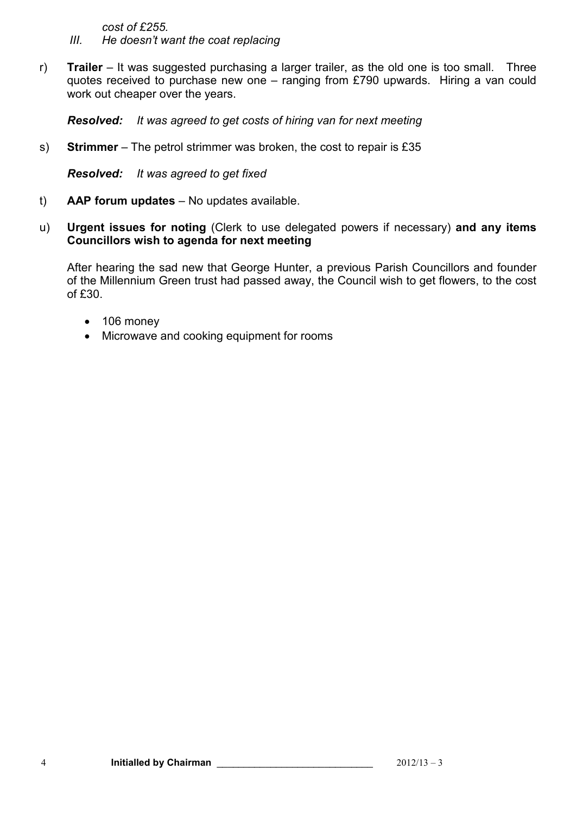*cost of £255.* 

- *III. He doesn't want the coat replacing*
- r) **Trailer**  It was suggested purchasing a larger trailer, as the old one is too small. Three quotes received to purchase new one – ranging from £790 upwards. Hiring a van could work out cheaper over the years.

*Resolved: It was agreed to get costs of hiring van for next meeting* 

s) **Strimmer** – The petrol strimmer was broken, the cost to repair is £35

*Resolved: It was agreed to get fixed*

- t) **AAP forum updates**  No updates available.
- u) **Urgent issues for noting** (Clerk to use delegated powers if necessary) **and any items Councillors wish to agenda for next meeting**

After hearing the sad new that George Hunter, a previous Parish Councillors and founder of the Millennium Green trust had passed away, the Council wish to get flowers, to the cost of £30.

- 106 money
- Microwave and cooking equipment for rooms